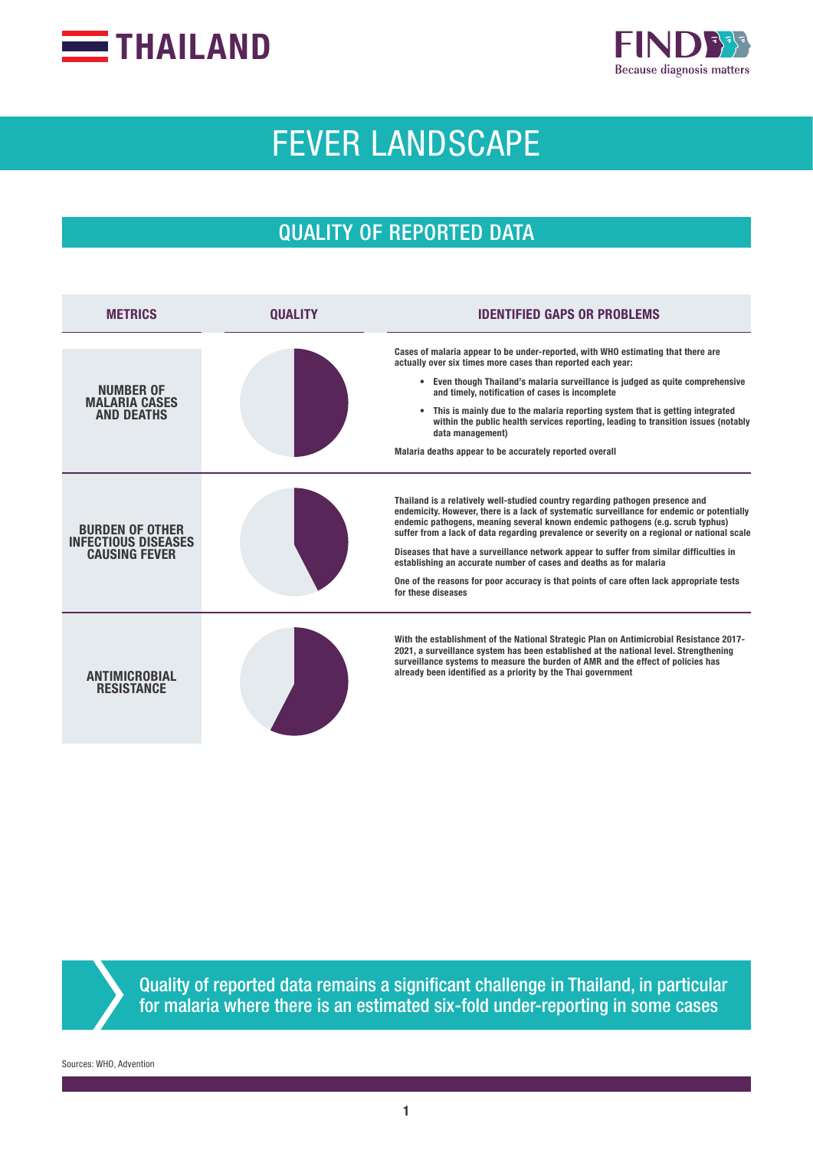



# FEVER LANDSCAPE

# QUALITY OF REPORTED DATA

| <b>METRICS</b>                                                               | <b>OUALITY</b> | IDENTIFIED GAPS OR PROBLEMS                                                                                                                                                                                                                                                                                                                                                                                                                                                                                                                                                                                                                     |
|------------------------------------------------------------------------------|----------------|-------------------------------------------------------------------------------------------------------------------------------------------------------------------------------------------------------------------------------------------------------------------------------------------------------------------------------------------------------------------------------------------------------------------------------------------------------------------------------------------------------------------------------------------------------------------------------------------------------------------------------------------------|
| NUMBER OF<br><b>MALARIA CASES</b><br><b>AND DEATHS</b>                       |                | Cases of malaria appear to be under-reported, with WHO estimating that there are<br>actually over six times more cases than reported each year:<br>• Even though Thailand's malaria surveillance is judged as quite comprehensive<br>and timely, notification of cases is incomplete<br>This is mainly due to the malaria reporting system that is getting integrated<br>$\bullet$<br>within the public health services reporting, leading to transition issues (notably<br>data management)<br>Malaria deaths appear to be accurately reported overall                                                                                         |
| <b>BURDEN OF OTHER</b><br><b>INFECTIOUS DISEASES</b><br><b>CAUSING FEVER</b> |                | Thailand is a relatively well-studied country regarding pathogen presence and<br>endemicity. However, there is a lack of systematic surveillance for endemic or potentially<br>endemic pathogens, meaning several known endemic pathogens (e.g. scrub typhus)<br>suffer from a lack of data regarding prevalence or severity on a regional or national scale<br>Diseases that have a surveillance network appear to suffer from similar difficulties in<br>establishing an accurate number of cases and deaths as for malaria<br>One of the reasons for poor accuracy is that points of care often lack appropriate tests<br>for these diseases |
| <b>ANTIMICRORIAL</b><br><b>RESISTANCE</b>                                    |                | With the establishment of the National Strategic Plan on Antimicrobial Resistance 2017-<br>2021, a surveillance system has been established at the national level. Strengthening<br>surveillance systems to measure the burden of AMR and the effect of policies has<br>already been identified as a priority by the Thai government                                                                                                                                                                                                                                                                                                            |



Quality of reported data remains a significant challenge in Thailand, in particular for malaria where there is an estimated six-fold under-reporting in some cases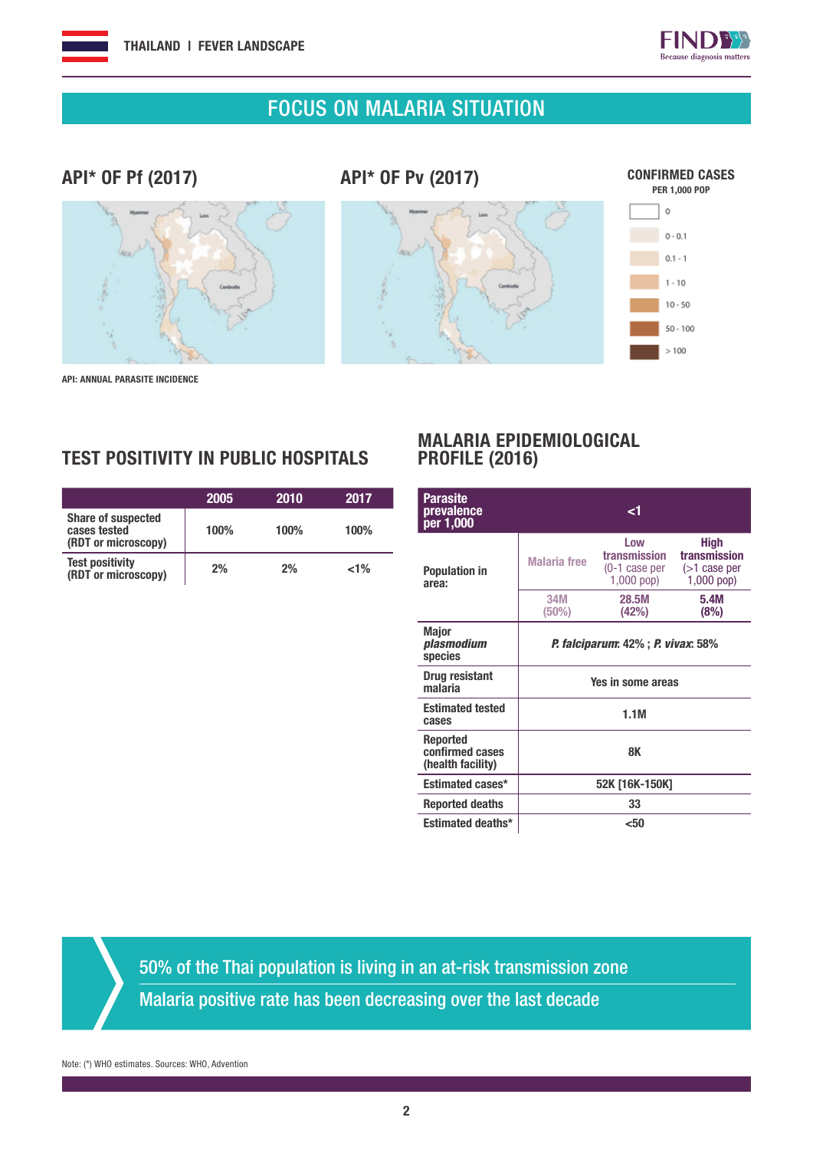

# FOCUS ON MALARIA SITUATION

#### API\* OF Pf (2017)

API\* OF Pv (2017)



 $50 - 100$  $>100$ 

API: ANNUAL PARASITE INCIDENCE

#### TEST POSITIVITY IN PUBLIC HOSPITALS

|                                                                  | 2005 | 2010 | 2017    |
|------------------------------------------------------------------|------|------|---------|
| <b>Share of suspected</b><br>cases tested<br>(RDT or microscopy) | 100% | 100% | 100%    |
| <b>Test positivity</b><br>(RDT or microscopy)                    | 2%   | 2%   | $< 1\%$ |

#### MALARIA EPIDEMIOLOGICAL PROFILE (2016)

| Parasite<br>prevalence<br>per 1,000                     |                                                   | <1                                                   |                                                                |  |  |
|---------------------------------------------------------|---------------------------------------------------|------------------------------------------------------|----------------------------------------------------------------|--|--|
| <b>Population in</b><br>area:                           | <b>Malaria</b> free                               | Low<br>transmission<br>(0-1 case per<br>$1,000$ pop) | <b>High</b><br>transmission<br>$($ >1 case per<br>$1,000$ pop) |  |  |
|                                                         | 34M<br>$(50\%)$                                   | 28.5M<br>(42%)                                       | 5.4M<br>(8%)                                                   |  |  |
| <b>Major</b><br>plasmodium<br>species                   | <i>P. falciparum</i> : 42%; <i>P. vivax</i> : 58% |                                                      |                                                                |  |  |
| Drug resistant<br>malaria                               | Yes in some areas                                 |                                                      |                                                                |  |  |
| <b>Estimated tested</b><br>cases                        | 1.1M                                              |                                                      |                                                                |  |  |
| <b>Reported</b><br>confirmed cases<br>(health facility) | 8K                                                |                                                      |                                                                |  |  |
| <b>Estimated cases*</b>                                 | 52K [16K-150K]                                    |                                                      |                                                                |  |  |
| <b>Reported deaths</b>                                  | 33                                                |                                                      |                                                                |  |  |
| <b>Estimated deaths*</b>                                |                                                   | <50                                                  |                                                                |  |  |

50% of the Thai population is living in an at-risk transmission zone

Malaria positive rate has been decreasing over the last decade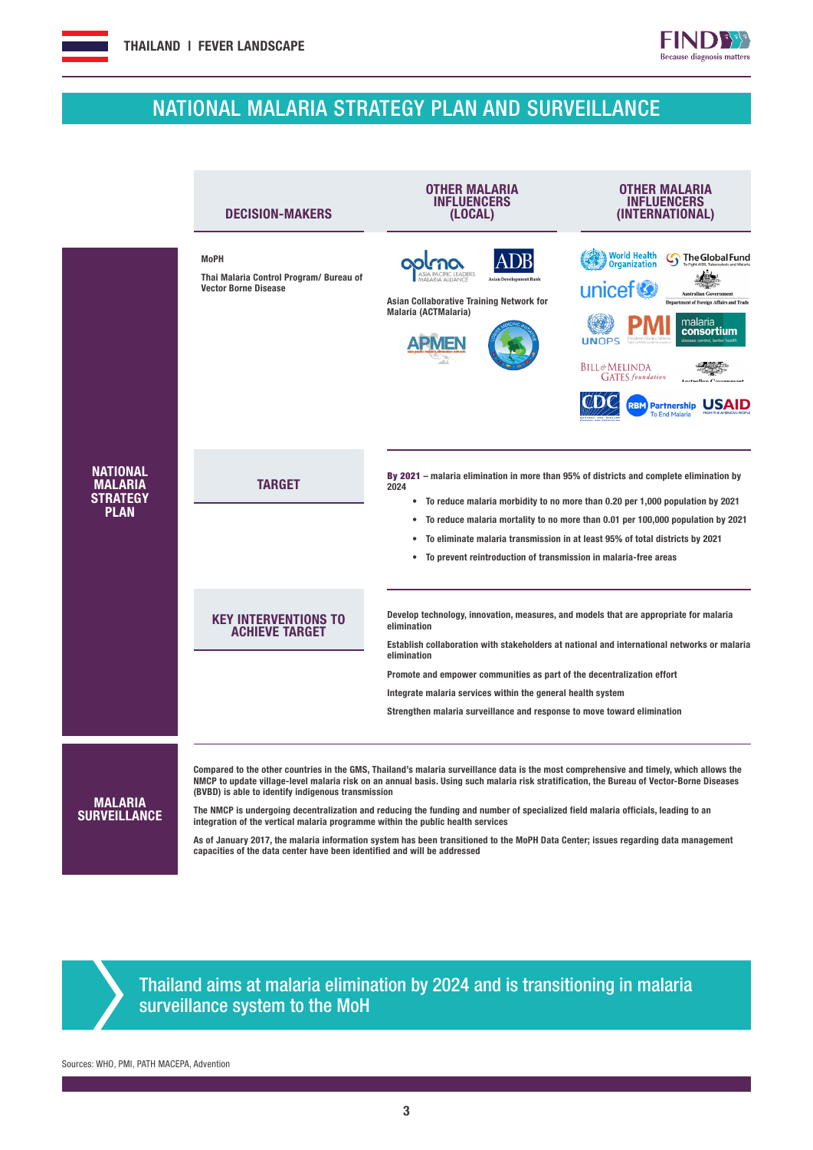#### NATIONAL MALARIA STRATEGY PLAN AND SURVEILLANCE





Sources: WHO, PMI, PATH MACEPA, Advention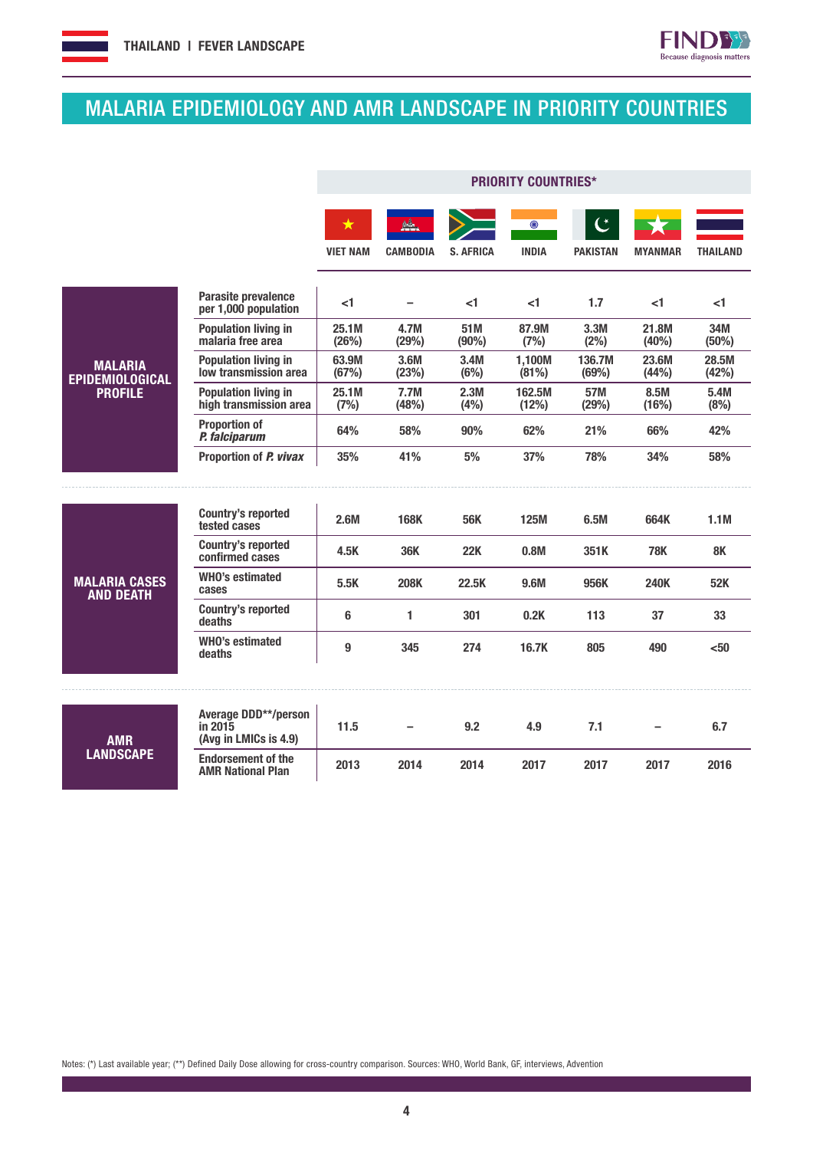

**FIND33** 

# MALARIA EPIDEMIOLOGY AND AMR LANDSCAPE IN PRIORITY COUNTRIES

|                                                            |                                                          | <b>PRIORITY COUNTRIES*</b> |                 |                  |                         |                                   |                |                 |
|------------------------------------------------------------|----------------------------------------------------------|----------------------------|-----------------|------------------|-------------------------|-----------------------------------|----------------|-----------------|
|                                                            |                                                          | $\star$<br><b>VIET NAM</b> | <b>CAMBODIA</b> | <b>S. AFRICA</b> | $\odot$<br><b>INDIA</b> | $\mathfrak{C}$<br><b>PAKISTAN</b> | <b>MYANMAR</b> | <b>THAILAND</b> |
|                                                            | Parasite prevalence<br>per 1,000 population              | <1                         |                 | <1               | <1                      | 1.7                               | $<$ 1          | $<$ 1           |
| <b>MALARIA</b><br><b>EPIDEMIOLOGICAL</b><br><b>PROFILE</b> | <b>Population living in</b><br>malaria free area         | 25.1M<br>(26%)             | 4.7M<br>(29%)   | 51M<br>(90%)     | 87.9M<br>(7%)           | 3.3M<br>(2%)                      | 21.8M<br>(40%) | 34M<br>(50%)    |
|                                                            | <b>Population living in</b><br>low transmission area     | 63.9M<br>(67%)             | 3.6M<br>(23%)   | 3.4M<br>(6%)     | 1,100M<br>(81%)         | 136.7M<br>(69%)                   | 23.6M<br>(44%) | 28.5M<br>(42%)  |
|                                                            | <b>Population living in</b><br>high transmission area    | 25.1M<br>(7%)              | 7.7M<br>(48%)   | 2.3M<br>(4% )    | 162.5M<br>(12%)         | 57M<br>(29%)                      | 8.5M<br>(16%)  | 5.4M<br>(8%)    |
|                                                            | <b>Proportion of</b><br>P. falciparum                    | 64%                        | 58%             | 90%              | 62%                     | 21%                               | 66%            | 42%             |
|                                                            | Proportion of P. vivax                                   | 35%                        | 41%             | 5%               | 37%                     | 78%                               | 34%            | 58%             |
|                                                            |                                                          |                            |                 |                  |                         |                                   |                |                 |
|                                                            | <b>Country's reported</b><br>tested cases                | 2.6M                       | 168K            | <b>56K</b>       | <b>125M</b>             | 6.5M                              | 664K           | 1.1M            |
|                                                            | <b>Country's reported</b><br>confirmed cases             | 4.5K                       | <b>36K</b>      | <b>22K</b>       | 0.8M                    | 351K                              | <b>78K</b>     | <b>8K</b>       |
| <b>MALARIA CASES</b><br><b>AND DEATH</b>                   | <b>WHO's estimated</b><br>cases                          | 5.5K                       | <b>208K</b>     | 22.5K            | 9.6M                    | 956K                              | <b>240K</b>    | 52K             |
|                                                            | <b>Country's reported</b><br>deaths                      | 6                          | 1               | 301              | 0.2K                    | 113                               | 37             | 33              |
|                                                            | <b>WHO's estimated</b><br>deaths                         | 9                          | 345             | 274              | 16.7K                   | 805                               | 490            | <50             |
|                                                            |                                                          |                            |                 |                  |                         |                                   |                |                 |
| <b>AMR</b><br><b>LANDSCAPE</b>                             | Average DDD**/person<br>in 2015<br>(Avg in LMICs is 4.9) | 11.5                       |                 | 9.2              | 4.9                     | 7.1                               |                | 6.7             |
|                                                            | <b>Endorsement of the</b><br><b>AMR National Plan</b>    | 2013                       | 2014            | 2014             | 2017                    | 2017                              | 2017           | 2016            |

Notes: (\*) Last available year; (\*\*) Defined Daily Dose allowing for cross-country comparison. Sources: WHO, World Bank, GF, interviews, Advention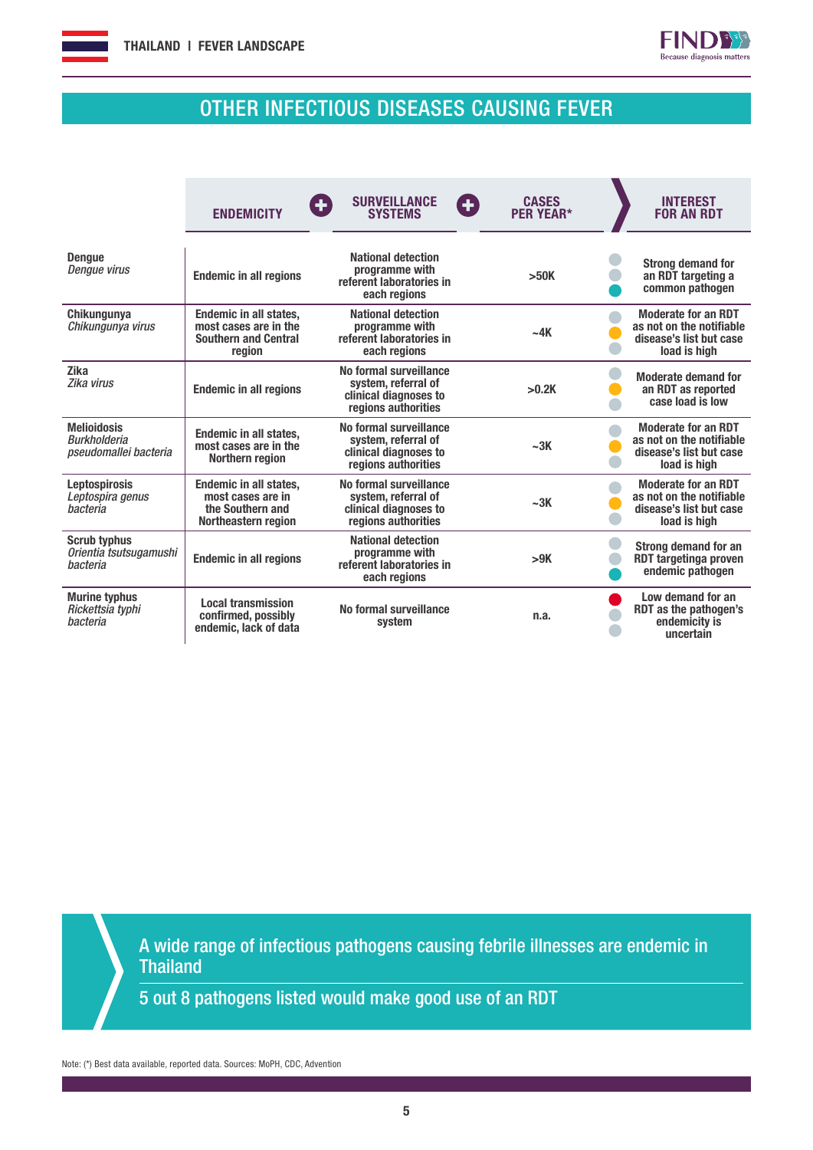



# OTHER INFECTIOUS DISEASES CAUSING FEVER

|                                                                    | Œ<br><b>ENDEMICITY</b>                                                                          | <b>SURVEILLANCE</b><br><b>SYSTEMS</b>                                                                 | <b>CASES</b><br>G<br><b>PER YEAR*</b> | <b>INTEREST</b><br><b>FOR AN RDT</b>                                                              |
|--------------------------------------------------------------------|-------------------------------------------------------------------------------------------------|-------------------------------------------------------------------------------------------------------|---------------------------------------|---------------------------------------------------------------------------------------------------|
| <b>Dengue</b><br>Dengue virus                                      | <b>Endemic in all regions</b>                                                                   | <b>National detection</b><br>programme with<br>referent laboratories in<br>each regions               | >50K                                  | <b>Strong demand for</b><br>an RDT targeting a<br>common pathogen                                 |
| Chikungunya<br>Chikungunya virus                                   | <b>Endemic in all states,</b><br>most cases are in the<br><b>Southern and Central</b><br>region | <b>National detection</b><br>programme with<br>referent laboratories in<br>each regions               | $-4K$                                 | <b>Moderate for an RDT</b><br>as not on the notifiable<br>disease's list but case<br>load is high |
| <b>Zika</b><br>Zika virus                                          | <b>Endemic in all regions</b>                                                                   | No formal surveillance<br>system, referral of<br>clinical diagnoses to<br>regions authorities         | >0.2K                                 | <b>Moderate demand for</b><br>an RDT as reported<br>case load is low                              |
| <b>Melioidosis</b><br><b>Burkholderia</b><br>pseudomallei bacteria | <b>Endemic in all states,</b><br>most cases are in the<br>Northern region                       | No formal surveillance<br>system, referral of<br>clinical diagnoses to<br>regions authorities         | ~23K                                  | <b>Moderate for an RDT</b><br>as not on the notifiable<br>disease's list but case<br>load is high |
| <b>Leptospirosis</b><br>Leptospira genus<br>bacteria               | <b>Endemic in all states,</b><br>most cases are in<br>the Southern and<br>Northeastern region   | No formal surveillance<br>system, referral of<br>~23K<br>clinical diagnoses to<br>regions authorities |                                       | <b>Moderate for an RDT</b><br>as not on the notifiable<br>disease's list but case<br>load is high |
| <b>Scrub typhus</b><br>Orientia tsutsugamushi<br>bacteria          | <b>Endemic in all regions</b>                                                                   | <b>National detection</b><br>programme with<br>referent laboratories in<br>each regions               | >9K                                   | <b>Strong demand for an</b><br><b>RDT targetinga proven</b><br>endemic pathogen                   |
| <b>Murine typhus</b><br>Rickettsia typhi<br>bacteria               | <b>Local transmission</b><br>confirmed, possibly<br>endemic, lack of data                       | No formal surveillance<br>n.a.<br>system                                                              |                                       | Low demand for an<br>RDT as the pathogen's<br>endemicity is<br>uncertain                          |

A wide range of infectious pathogens causing febrile illnesses are endemic in **Thailand** 

5 out 8 pathogens listed would make good use of an RDT

Note: (\*) Best data available, reported data. Sources: MoPH, CDC, Advention